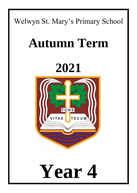### Welwyn St. Mary's Primary School

## **Autumn Term**

## **2021**



# **Year 4**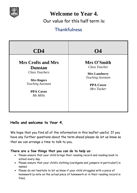

**Welcome to Year 4.** 

Our value for this half term is:

#### **Thankfulness**

| CD4                                                                                                                                                    | <b>O4</b>                                                                                                           |
|--------------------------------------------------------------------------------------------------------------------------------------------------------|---------------------------------------------------------------------------------------------------------------------|
| <b>Mrs Crofts and Mrs</b><br><b>Dunstan</b><br><b>Class Teachers</b><br><b>Mrs Rogers</b><br><b>Teaching Assistant</b><br><b>PPA Cover</b><br>Ms Mills | Mrs O'Smith<br>Class Teacher<br><b>Mrs Lansberry</b><br><b>Teaching Assistant</b><br><b>PPA Cover</b><br>Mrs Tucker |

#### **Hello and welcome to Year 4,**

We hope that you find all of the information in this leaflet useful. If you have any further questions about the term ahead please do let us know so that we can arrange a time to talk to you.

#### **There are a few things that you can do to help us:**

- Please ensure that your child brings their reading record and reading book to school every day.
- Please ensure that your child's clothing (cardigans and jumpers in particular!) is named.
- Please do not hesitate to let us know if your child struggles with a piece of homework (a note on the actual piece of homework or in their reading record is fine).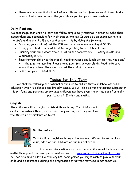Please also ensure that all packed lunch items are '**nut free'** as we do have children in Year 4 who have severe allergies. Thank you for your consideration.

#### **Daily Routines:**

We encourage each child to learn and follow simple daily routines in order to make them independent and responsible for their own belongings. It would be an enormous help to the staff and your child if you could support this by doing the following:

- Dropping your child off at the KS2 waiting area every morning at 08:35
- Giving your child a piece of fruit (or vegetable) to eat at break time.
- Ensuring your child wears their PE kit on the correct day Tuesday in CD4 and Wednesday in O4.
- Ensuring your child has their book, reading record and lunch box (if they need one) with them in the morning. Please remember to sign your child's Reading Record every time you hear them read and at the end of the week.
- Picking up your child at 03:10

#### **Topics for this Term**

We shall be following the national curriculum to ensure that our school offers an education which is balanced and broadly based. We will also be working across subjects on identifying and patching up any gaps children may have from their time out of school – particularly in English and maths.

#### **English**

The children will be taught English skills each day. The children will explore narratives through story and diary writing and they will look at the structure of explanation texts.





#### **Mathematics**

Maths will be taught each day in the morning. We will focus on place value, addition and subtraction and multiplication.

For more information about what your children will be learning in maths throughout the year please visit our website [www.welwynst-marys.herts.sch.uk.](http://www.welwynst-marys.herts.sch.uk/) You can also find a useful vocabulary list, some games you might wish to play with your child and a document outlining the progression of written methods in mathematics.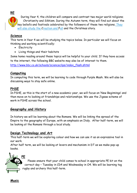**RE**



 During Year 4, the children will compare and contrast two major world religions; Christianity and Sikhism. During the Autumn term, they will find out about the key beliefs and festivals celebrated by the followers of these two religions. They will also study the Creation and Fall and the Christmas story.

#### **Science**

This term in Year 4 we will be studying the topics below. In particular we will focus on thinking and working scientifically:

- Electricity
- Living things and their habitats

Some home reading around these topics will be helpful to your child. If they have access to the internet, the following BBC website may also be of interest to them. [http://www.bbc.co.uk/schools/scienceclips/index\\_flash.shtml](http://www.bbc.co.uk/schools/scienceclips/index_flash.shtml)

#### **Computing**

In computing this term, we will be learning to code through Purple Mash. We will also be discussing ways to stay safe online.

#### **PHSE**

In PSHE, as this is the start of a new academic year, we will focus on 'New Beginnings' and then move on to looking at friendships and relationships. We use the Jigsaw scheme of work in PSHE across the school.

#### **Geography and History**

In history we will be learning about the Romans. We will be linking the spread of the Empire to the geography of Europe, with an emphasis on Italy. After half-term, we will be looking at the Romans through a local study.

#### **Design Technology and Art**

This half-term we will be exploring colour and how we can use it as an expressive tool in our work.

After half term, we will be looking at levers and mechanism in DT as we make pop-up books.



 Please ensure that your child comes to school in appropriate PE kit on the correct day – Tuesday in CD4 and Wednesday in O4. We will be learning tag rugby and archery this half-term.

**Music**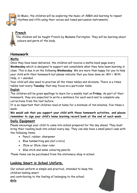

In Music, the children will be exploring the music of ABBA and learning to repeat rhythms and riffs using their voices and tuned percussion instruments.

#### **French**

The children will be taught French by Madame Farrington. They will be learning about colours and parts of the body.

#### **Homework**

#### **Maths**

Once they have been delivered, the children will receive a maths book page every **Wednesday** which is designed to support and consolidate what they have been learning in class. This is due in on the following **Wednesday**. We are more than happy for you to help your child with their homework but please indicate that you have done so; WH = With Help, U = unaided.

Your child will also need to practise all the times tables and divisions. There is a times tables test every **Tuesday** that may focus on a particular table.

#### **English**

The children will be given spellings to learn for a weekly test on **Friday**. As part of their homework, they are expected to write a sentence for each word and to complete any corrections from the test before.

It is so important that children read at home for a minimum of ten minutes, five times a week.

**We would ask that you support your child with these homework activities, and please remember to sign your child's home learning record book at the end of each week.**

#### **Daily Equipment**

Please encourage your child to come into school prepared for the day ahead. They must bring their reading book into school every day. They can also have a small pencil case with the following items:

- Pencil, rubber, sharpener
- Blue handwriting pen (not a biro)
- 15cm or 30cm clear ruler
- Glue stick and some colouring pencils.

These items can be purchased from the stationery shop in school.

#### **Looking Smart in School Uniform.**

Our school uniform is simple and practical, intended to keep the children looking smart

and contributing to the feeling of belonging to the school.

**Girls**

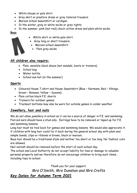- White blouse or polo shirt.
- Grey skirt or pinafore dress or grey tailored trousers.
- Maroon school sweatshirt or cardigan.
- In the winter, grey or white socks or grey tights.
- In the summer, pink (not red) check cotton dress and plain white socks.

#### **Boys**

- White shirt or white polo shirt.
- Grey long or short trousers.
- Maroon school sweatshirt.
- Plain grey socks.

#### **All children also require:**

- Plain, sensible black shoes (not sandals, boots or trainers).
- School bag
- Water bottle.
- School sun hat (in the summer)

#### **Sports**

- Coloured House T-shirt and House Sweatshirt (Blue Normans, Red Vikings, Green – Romans, Yellow – Saxons).
- Plain cotton black P.E. shorts
- Trainers for outdoor games
- Tracksuit bottoms may also be worn for outside games in colder weather

#### **Jewellery, hair and nails**

We do not allow jewellery in school as it can be a source of danger in P.E. and swimming. Pierced ears should have a stud only. Earrings have to be removed or taped up for P.E. and swimming lessons.

Long hair must be tied back for games and swimming lessons. We would also appreciate it, if children with long hair could tie it back during the general school day with plain and simple bands, clips or ribbons in brown, black or maroon.

Boys hair should be a traditional style and neither too short or too long. No 'fashion' cuts are allowed.

Nail varnish should be removed before the start of each school day.

The school and Local Authority do not accept liability for loss or damage to valuable personal property and we therefore do not encourage children to bring such items, including toys to school.

*Thank you for your support. Mrs O'Smith, Mrs Dunstan and Mrs Crofts Key Dates for Autumn Term 2021*